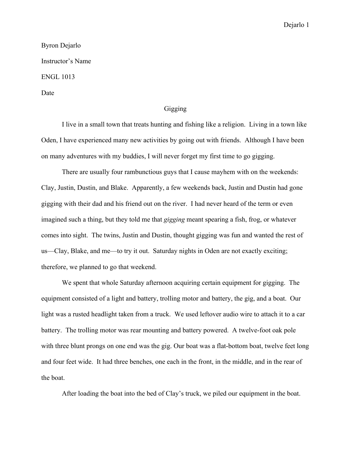## Byron Dejarlo Instructor's Name ENGL 1013 Date

## Gigging

I live in a small town that treats hunting and fishing like a religion. Living in a town like Oden, I have experienced many new activities by going out with friends. Although I have been on many adventures with my buddies, I will never forget my first time to go gigging.

There are usually four rambunctious guys that I cause mayhem with on the weekends: Clay, Justin, Dustin, and Blake. Apparently, a few weekends back, Justin and Dustin had gone gigging with their dad and his friend out on the river. I had never heard of the term or even imagined such a thing, but they told me that *gigging* meant spearing a fish, frog, or whatever comes into sight. The twins, Justin and Dustin, thought gigging was fun and wanted the rest of us—Clay, Blake, and me—to try it out. Saturday nights in Oden are not exactly exciting; therefore, we planned to go that weekend.

We spent that whole Saturday afternoon acquiring certain equipment for gigging. The equipment consisted of a light and battery, trolling motor and battery, the gig, and a boat. Our light was a rusted headlight taken from a truck. We used leftover audio wire to attach it to a car battery. The trolling motor was rear mounting and battery powered. A twelve-foot oak pole with three blunt prongs on one end was the gig. Our boat was a flat-bottom boat, twelve feet long and four feet wide. It had three benches, one each in the front, in the middle, and in the rear of the boat.

After loading the boat into the bed of Clay's truck, we piled our equipment in the boat.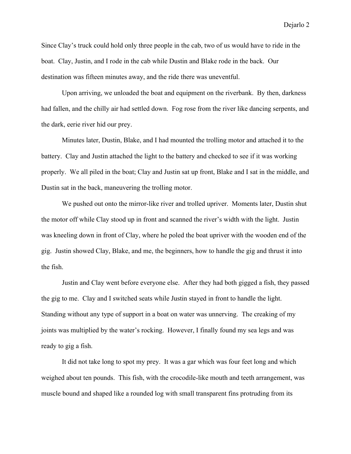Dejarlo 2

Since Clay's truck could hold only three people in the cab, two of us would have to ride in the boat. Clay, Justin, and I rode in the cab while Dustin and Blake rode in the back. Our destination was fifteen minutes away, and the ride there was uneventful.

Upon arriving, we unloaded the boat and equipment on the riverbank. By then, darkness had fallen, and the chilly air had settled down. Fog rose from the river like dancing serpents, and the dark, eerie river hid our prey.

Minutes later, Dustin, Blake, and I had mounted the trolling motor and attached it to the battery. Clay and Justin attached the light to the battery and checked to see if it was working properly. We all piled in the boat; Clay and Justin sat up front, Blake and I sat in the middle, and Dustin sat in the back, maneuvering the trolling motor.

We pushed out onto the mirror-like river and trolled upriver. Moments later, Dustin shut the motor off while Clay stood up in front and scanned the river's width with the light. Justin was kneeling down in front of Clay, where he poled the boat upriver with the wooden end of the gig. Justin showed Clay, Blake, and me, the beginners, how to handle the gig and thrust it into the fish.

Justin and Clay went before everyone else. After they had both gigged a fish, they passed the gig to me. Clay and I switched seats while Justin stayed in front to handle the light. Standing without any type of support in a boat on water was unnerving. The creaking of my joints was multiplied by the water's rocking. However, I finally found my sea legs and was ready to gig a fish.

It did not take long to spot my prey. It was a gar which was four feet long and which weighed about ten pounds. This fish, with the crocodile-like mouth and teeth arrangement, was muscle bound and shaped like a rounded log with small transparent fins protruding from its